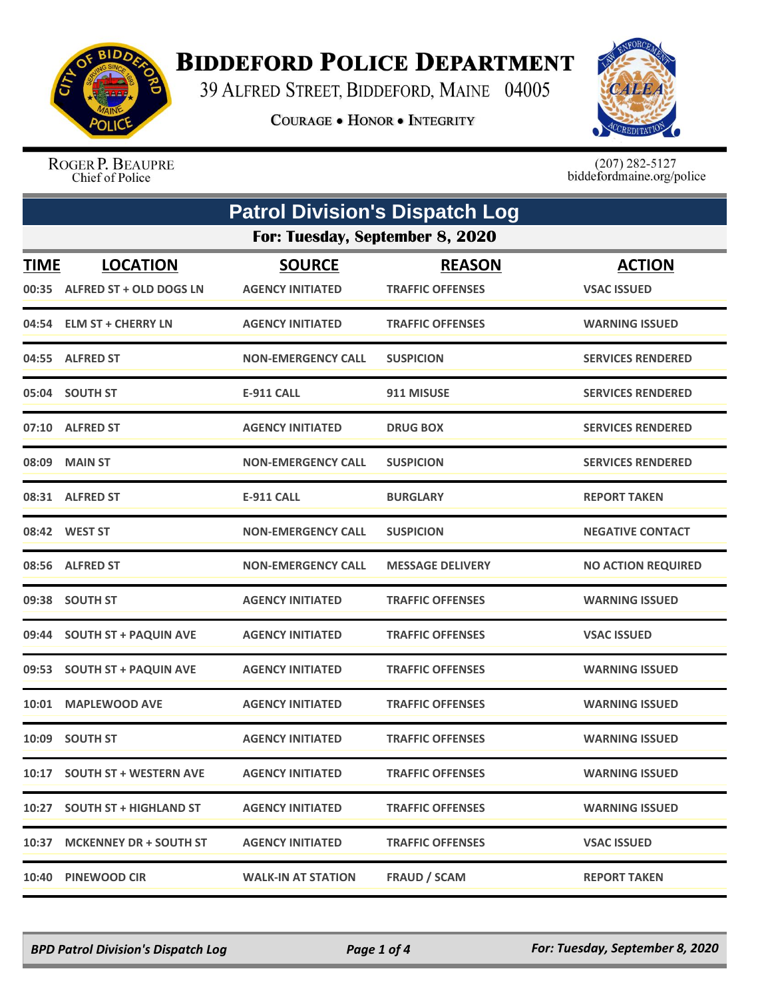

## **BIDDEFORD POLICE DEPARTMENT**

39 ALFRED STREET, BIDDEFORD, MAINE 04005

**COURAGE . HONOR . INTEGRITY** 



ROGER P. BEAUPRE Chief of Police

 $(207)$  282-5127<br>biddefordmaine.org/police

| <b>Patrol Division's Dispatch Log</b> |                                                  |                                          |                                          |                                     |  |
|---------------------------------------|--------------------------------------------------|------------------------------------------|------------------------------------------|-------------------------------------|--|
|                                       | For: Tuesday, September 8, 2020                  |                                          |                                          |                                     |  |
| <b>TIME</b>                           | <b>LOCATION</b><br>00:35 ALFRED ST + OLD DOGS LN | <b>SOURCE</b><br><b>AGENCY INITIATED</b> | <b>REASON</b><br><b>TRAFFIC OFFENSES</b> | <b>ACTION</b><br><b>VSAC ISSUED</b> |  |
|                                       | 04:54 ELM ST + CHERRY LN                         | <b>AGENCY INITIATED</b>                  | <b>TRAFFIC OFFENSES</b>                  | <b>WARNING ISSUED</b>               |  |
|                                       | 04:55 ALFRED ST                                  | <b>NON-EMERGENCY CALL</b>                | <b>SUSPICION</b>                         | <b>SERVICES RENDERED</b>            |  |
|                                       | 05:04 SOUTH ST                                   | <b>E-911 CALL</b>                        | 911 MISUSE                               | <b>SERVICES RENDERED</b>            |  |
|                                       | 07:10 ALFRED ST                                  | <b>AGENCY INITIATED</b>                  | <b>DRUG BOX</b>                          | <b>SERVICES RENDERED</b>            |  |
|                                       | 08:09 MAIN ST                                    | <b>NON-EMERGENCY CALL</b>                | <b>SUSPICION</b>                         | <b>SERVICES RENDERED</b>            |  |
|                                       | 08:31 ALFRED ST                                  | <b>E-911 CALL</b>                        | <b>BURGLARY</b>                          | <b>REPORT TAKEN</b>                 |  |
|                                       | 08:42 WEST ST                                    | <b>NON-EMERGENCY CALL</b>                | <b>SUSPICION</b>                         | <b>NEGATIVE CONTACT</b>             |  |
|                                       | 08:56 ALFRED ST                                  | <b>NON-EMERGENCY CALL</b>                | <b>MESSAGE DELIVERY</b>                  | <b>NO ACTION REQUIRED</b>           |  |
|                                       | 09:38 SOUTH ST                                   | <b>AGENCY INITIATED</b>                  | <b>TRAFFIC OFFENSES</b>                  | <b>WARNING ISSUED</b>               |  |
|                                       | 09:44 SOUTH ST + PAQUIN AVE                      | <b>AGENCY INITIATED</b>                  | <b>TRAFFIC OFFENSES</b>                  | <b>VSAC ISSUED</b>                  |  |
|                                       | 09:53 SOUTH ST + PAQUIN AVE                      | <b>AGENCY INITIATED</b>                  | <b>TRAFFIC OFFENSES</b>                  | <b>WARNING ISSUED</b>               |  |
|                                       | 10:01 MAPLEWOOD AVE                              | <b>AGENCY INITIATED</b>                  | <b>TRAFFIC OFFENSES</b>                  | <b>WARNING ISSUED</b>               |  |
| 10:09                                 | <b>SOUTH ST</b>                                  | <b>AGENCY INITIATED</b>                  | <b>TRAFFIC OFFENSES</b>                  | <b>WARNING ISSUED</b>               |  |
|                                       | 10:17 SOUTH ST + WESTERN AVE                     | <b>AGENCY INITIATED</b>                  | <b>TRAFFIC OFFENSES</b>                  | <b>WARNING ISSUED</b>               |  |
|                                       | 10:27 SOUTH ST + HIGHLAND ST                     | <b>AGENCY INITIATED</b>                  | <b>TRAFFIC OFFENSES</b>                  | <b>WARNING ISSUED</b>               |  |
|                                       | 10:37 MCKENNEY DR + SOUTH ST                     | <b>AGENCY INITIATED</b>                  | <b>TRAFFIC OFFENSES</b>                  | <b>VSAC ISSUED</b>                  |  |
|                                       | 10:40 PINEWOOD CIR                               | <b>WALK-IN AT STATION</b>                | <b>FRAUD / SCAM</b>                      | <b>REPORT TAKEN</b>                 |  |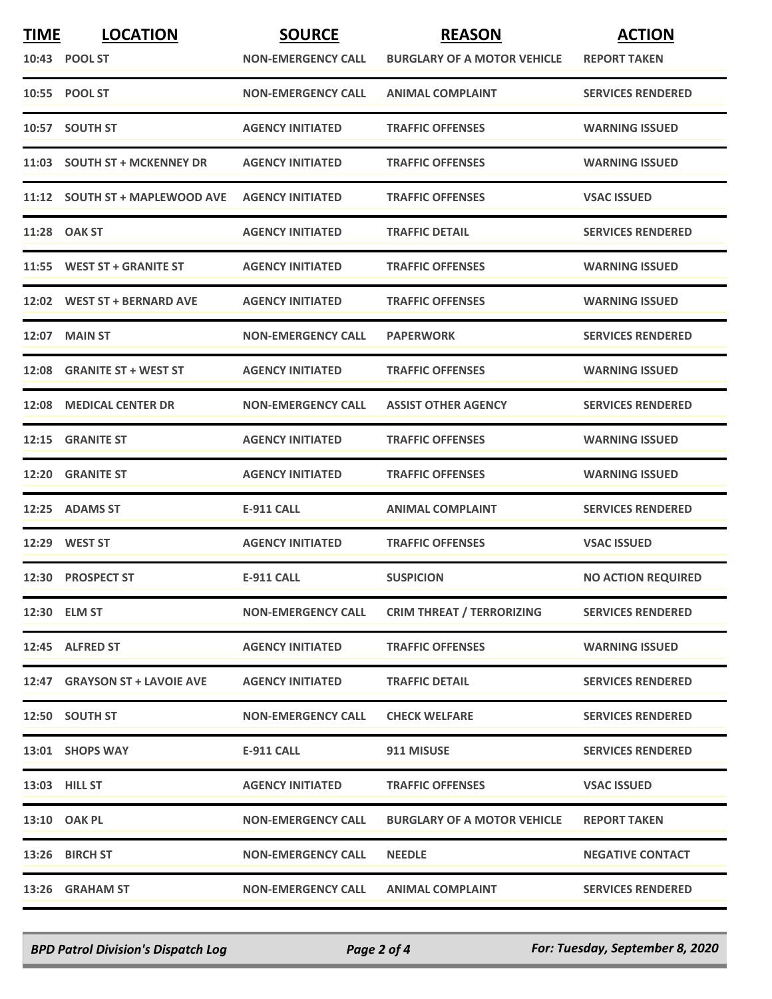| <u>TIME</u> | <b>LOCATION</b>                | <b>SOURCE</b>             | <b>REASON</b>                      | <b>ACTION</b>             |
|-------------|--------------------------------|---------------------------|------------------------------------|---------------------------|
|             | 10:43 POOL ST                  | <b>NON-EMERGENCY CALL</b> | <b>BURGLARY OF A MOTOR VEHICLE</b> | <b>REPORT TAKEN</b>       |
|             | 10:55 POOL ST                  | <b>NON-EMERGENCY CALL</b> | <b>ANIMAL COMPLAINT</b>            | <b>SERVICES RENDERED</b>  |
|             | 10:57 SOUTH ST                 | <b>AGENCY INITIATED</b>   | <b>TRAFFIC OFFENSES</b>            | <b>WARNING ISSUED</b>     |
|             | 11:03 SOUTH ST + MCKENNEY DR   | <b>AGENCY INITIATED</b>   | <b>TRAFFIC OFFENSES</b>            | <b>WARNING ISSUED</b>     |
|             | 11:12 SOUTH ST + MAPLEWOOD AVE | <b>AGENCY INITIATED</b>   | <b>TRAFFIC OFFENSES</b>            | <b>VSAC ISSUED</b>        |
|             | 11:28 OAK ST                   | <b>AGENCY INITIATED</b>   | <b>TRAFFIC DETAIL</b>              | <b>SERVICES RENDERED</b>  |
|             | 11:55 WEST ST + GRANITE ST     | <b>AGENCY INITIATED</b>   | <b>TRAFFIC OFFENSES</b>            | <b>WARNING ISSUED</b>     |
|             | 12:02 WEST ST + BERNARD AVE    | <b>AGENCY INITIATED</b>   | <b>TRAFFIC OFFENSES</b>            | <b>WARNING ISSUED</b>     |
|             | <b>12:07 MAIN ST</b>           | <b>NON-EMERGENCY CALL</b> | <b>PAPERWORK</b>                   | <b>SERVICES RENDERED</b>  |
| 12:08       | <b>GRANITE ST + WEST ST</b>    | <b>AGENCY INITIATED</b>   | <b>TRAFFIC OFFENSES</b>            | <b>WARNING ISSUED</b>     |
| 12:08       | <b>MEDICAL CENTER DR</b>       | <b>NON-EMERGENCY CALL</b> | <b>ASSIST OTHER AGENCY</b>         | <b>SERVICES RENDERED</b>  |
| 12:15       | <b>GRANITE ST</b>              | <b>AGENCY INITIATED</b>   | <b>TRAFFIC OFFENSES</b>            | <b>WARNING ISSUED</b>     |
|             | 12:20 GRANITE ST               | <b>AGENCY INITIATED</b>   | <b>TRAFFIC OFFENSES</b>            | <b>WARNING ISSUED</b>     |
|             | 12:25 ADAMS ST                 | <b>E-911 CALL</b>         | <b>ANIMAL COMPLAINT</b>            | <b>SERVICES RENDERED</b>  |
|             | 12:29 WEST ST                  | <b>AGENCY INITIATED</b>   | <b>TRAFFIC OFFENSES</b>            | <b>VSAC ISSUED</b>        |
|             | 12:30 PROSPECT ST              | <b>E-911 CALL</b>         | <b>SUSPICION</b>                   | <b>NO ACTION REQUIRED</b> |
|             | 12:30 ELM ST                   | <b>NON-EMERGENCY CALL</b> | <b>CRIM THREAT / TERRORIZING</b>   | <b>SERVICES RENDERED</b>  |
|             | 12:45 ALFRED ST                | <b>AGENCY INITIATED</b>   | <b>TRAFFIC OFFENSES</b>            | <b>WARNING ISSUED</b>     |
|             | 12:47 GRAYSON ST + LAVOIE AVE  | <b>AGENCY INITIATED</b>   | <b>TRAFFIC DETAIL</b>              | <b>SERVICES RENDERED</b>  |
|             | 12:50 SOUTH ST                 | <b>NON-EMERGENCY CALL</b> | <b>CHECK WELFARE</b>               | <b>SERVICES RENDERED</b>  |
|             | 13:01 SHOPS WAY                | <b>E-911 CALL</b>         | 911 MISUSE                         | <b>SERVICES RENDERED</b>  |
|             | 13:03 HILL ST                  | <b>AGENCY INITIATED</b>   | <b>TRAFFIC OFFENSES</b>            | <b>VSAC ISSUED</b>        |
|             | 13:10 OAK PL                   | <b>NON-EMERGENCY CALL</b> | <b>BURGLARY OF A MOTOR VEHICLE</b> | <b>REPORT TAKEN</b>       |
|             | 13:26 BIRCH ST                 | <b>NON-EMERGENCY CALL</b> | <b>NEEDLE</b>                      | <b>NEGATIVE CONTACT</b>   |
|             | 13:26 GRAHAM ST                | <b>NON-EMERGENCY CALL</b> | <b>ANIMAL COMPLAINT</b>            | <b>SERVICES RENDERED</b>  |

*BPD Patrol Division's Dispatch Log Page 2 of 4 For: Tuesday, September 8, 2020*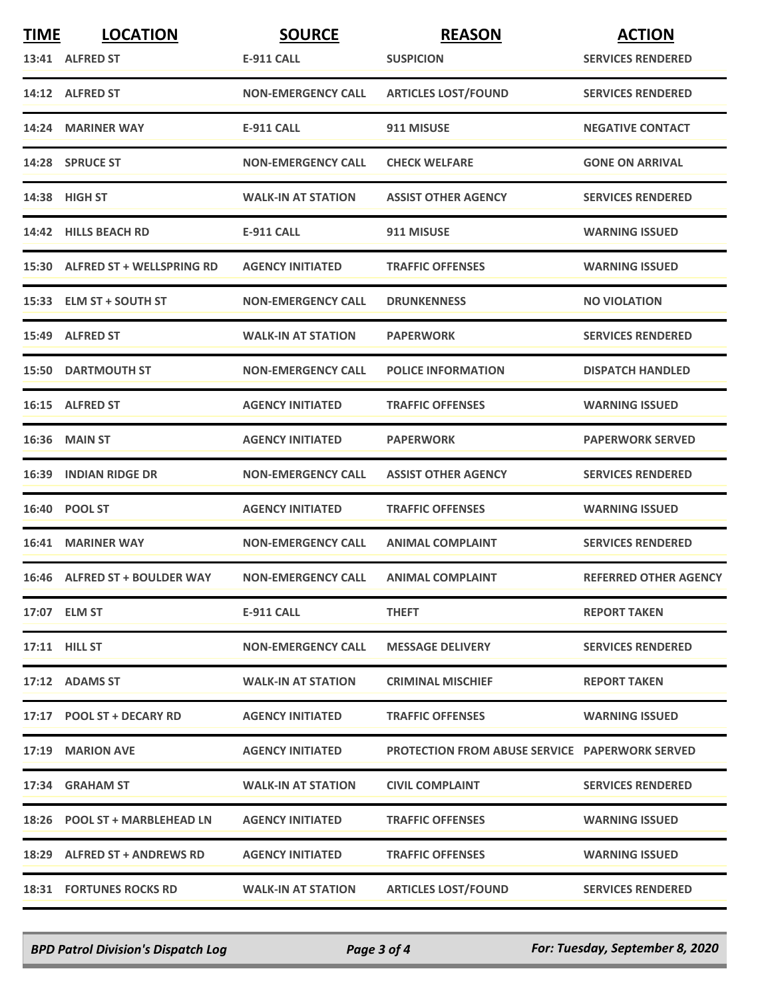| <b>TIME</b> | <b>LOCATION</b>                 | <b>SOURCE</b>             | <b>REASON</b>                                         | <b>ACTION</b>                |
|-------------|---------------------------------|---------------------------|-------------------------------------------------------|------------------------------|
|             | 13:41 ALFRED ST                 | E-911 CALL                | <b>SUSPICION</b>                                      | <b>SERVICES RENDERED</b>     |
|             | 14:12 ALFRED ST                 | <b>NON-EMERGENCY CALL</b> | <b>ARTICLES LOST/FOUND</b>                            | <b>SERVICES RENDERED</b>     |
|             | 14:24 MARINER WAY               | <b>E-911 CALL</b>         | 911 MISUSE                                            | <b>NEGATIVE CONTACT</b>      |
|             | 14:28 SPRUCE ST                 | <b>NON-EMERGENCY CALL</b> | <b>CHECK WELFARE</b>                                  | <b>GONE ON ARRIVAL</b>       |
|             | 14:38 HIGH ST                   | <b>WALK-IN AT STATION</b> | <b>ASSIST OTHER AGENCY</b>                            | <b>SERVICES RENDERED</b>     |
|             | 14:42 HILLS BEACH RD            | <b>E-911 CALL</b>         | 911 MISUSE                                            | <b>WARNING ISSUED</b>        |
|             | 15:30 ALFRED ST + WELLSPRING RD | <b>AGENCY INITIATED</b>   | <b>TRAFFIC OFFENSES</b>                               | <b>WARNING ISSUED</b>        |
|             | 15:33 ELM ST + SOUTH ST         | <b>NON-EMERGENCY CALL</b> | <b>DRUNKENNESS</b>                                    | <b>NO VIOLATION</b>          |
|             | 15:49 ALFRED ST                 | <b>WALK-IN AT STATION</b> | <b>PAPERWORK</b>                                      | <b>SERVICES RENDERED</b>     |
|             | <b>15:50 DARTMOUTH ST</b>       | <b>NON-EMERGENCY CALL</b> | <b>POLICE INFORMATION</b>                             | <b>DISPATCH HANDLED</b>      |
|             | 16:15 ALFRED ST                 | <b>AGENCY INITIATED</b>   | <b>TRAFFIC OFFENSES</b>                               | <b>WARNING ISSUED</b>        |
|             | <b>16:36 MAIN ST</b>            | <b>AGENCY INITIATED</b>   | <b>PAPERWORK</b>                                      | <b>PAPERWORK SERVED</b>      |
|             | <b>16:39 INDIAN RIDGE DR</b>    | <b>NON-EMERGENCY CALL</b> | <b>ASSIST OTHER AGENCY</b>                            | <b>SERVICES RENDERED</b>     |
|             | 16:40 POOL ST                   | <b>AGENCY INITIATED</b>   | <b>TRAFFIC OFFENSES</b>                               | <b>WARNING ISSUED</b>        |
|             | 16:41 MARINER WAY               | <b>NON-EMERGENCY CALL</b> | <b>ANIMAL COMPLAINT</b>                               | <b>SERVICES RENDERED</b>     |
|             | 16:46 ALFRED ST + BOULDER WAY   | <b>NON-EMERGENCY CALL</b> | <b>ANIMAL COMPLAINT</b>                               | <b>REFERRED OTHER AGENCY</b> |
|             | 17:07 ELM ST                    | <b>E-911 CALL</b>         | <b>THEFT</b>                                          | <b>REPORT TAKEN</b>          |
|             | 17:11 HILL ST                   | <b>NON-EMERGENCY CALL</b> | <b>MESSAGE DELIVERY</b>                               | <b>SERVICES RENDERED</b>     |
|             | 17:12 ADAMS ST                  | <b>WALK-IN AT STATION</b> | <b>CRIMINAL MISCHIEF</b>                              | <b>REPORT TAKEN</b>          |
|             | 17:17 POOL ST + DECARY RD       | <b>AGENCY INITIATED</b>   | <b>TRAFFIC OFFENSES</b>                               | <b>WARNING ISSUED</b>        |
|             | 17:19 MARION AVE                | <b>AGENCY INITIATED</b>   | <b>PROTECTION FROM ABUSE SERVICE PAPERWORK SERVED</b> |                              |
|             | 17:34 GRAHAM ST                 | <b>WALK-IN AT STATION</b> | <b>CIVIL COMPLAINT</b>                                | <b>SERVICES RENDERED</b>     |
|             | 18:26 POOL ST + MARBLEHEAD LN   | <b>AGENCY INITIATED</b>   | <b>TRAFFIC OFFENSES</b>                               | <b>WARNING ISSUED</b>        |
|             | 18:29 ALFRED ST + ANDREWS RD    | <b>AGENCY INITIATED</b>   | <b>TRAFFIC OFFENSES</b>                               | <b>WARNING ISSUED</b>        |
|             | <b>18:31 FORTUNES ROCKS RD</b>  | <b>WALK-IN AT STATION</b> | <b>ARTICLES LOST/FOUND</b>                            | <b>SERVICES RENDERED</b>     |

*BPD Patrol Division's Dispatch Log Page 3 of 4 For: Tuesday, September 8, 2020*